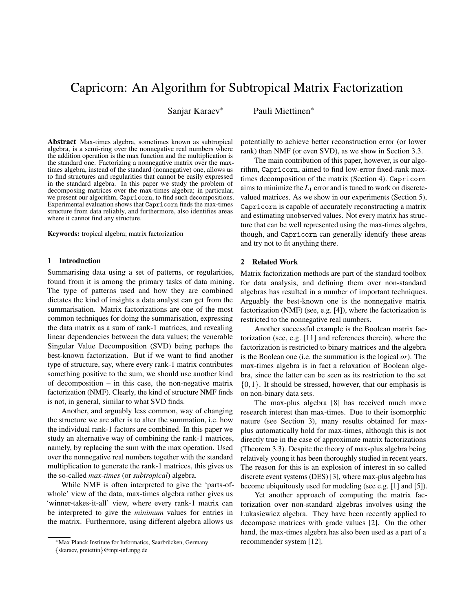# Capricorn: An Algorithm for Subtropical Matrix Factorization

Sanjar Karaev<sup>∗</sup> Pauli Miettinen<sup>∗</sup>

Abstract Max-times algebra, sometimes known as subtropical algebra, is a semi-ring over the nonnegative real numbers where the addition operation is the max function and the multiplication is the standard one. Factorizing a nonnegative matrix over the maxtimes algebra, instead of the standard (nonnegative) one, allows us to find structures and regularities that cannot be easily expressed in the standard algebra. In this paper we study the problem of decomposing matrices over the max-times algebra; in particular, we present our algorithm, Capricorn, to find such decompositions. Experimental evaluation shows that Capricorn finds the max-times structure from data reliably, and furthermore, also identifies areas where it cannot find any structure.

Keywords: tropical algebra; matrix factorization

#### 1 Introduction

Summarising data using a set of patterns, or regularities, found from it is among the primary tasks of data mining. The type of patterns used and how they are combined dictates the kind of insights a data analyst can get from the summarisation. Matrix factorizations are one of the most common techniques for doing the summarisation, expressing the data matrix as a sum of rank-1 matrices, and revealing linear dependencies between the data values; the venerable Singular Value Decomposition (SVD) being perhaps the best-known factorization. But if we want to find another type of structure, say, where every rank-1 matrix contributes something positive to the sum, we should use another kind of decomposition – in this case, the non-negative matrix factorization (NMF). Clearly, the kind of structure NMF finds is not, in general, similar to what SVD finds.

Another, and arguably less common, way of changing the structure we are after is to alter the summation, i.e. how the individual rank-1 factors are combined. In this paper we study an alternative way of combining the rank-1 matrices, namely, by replacing the sum with the max operation. Used over the nonnegative real numbers together with the standard multiplication to generate the rank-1 matrices, this gives us the so-called *max-times* (or *subtropical*) algebra.

While NMF is often interpreted to give the 'parts-ofwhole' view of the data, max-times algebra rather gives us 'winner-takes-it-all' view, where every rank-1 matrix can be interpreted to give the *minimum* values for entries in the matrix. Furthermore, using different algebra allows us

potentially to achieve better reconstruction error (or lower rank) than NMF (or even SVD), as we show in Section 3.3.

The main contribution of this paper, however, is our algorithm, Capricorn, aimed to find low-error fixed-rank maxtimes decomposition of the matrix (Section 4). Capricorn aims to minimize the  $L_1$  error and is tuned to work on discretevalued matrices. As we show in our experiments (Section 5), Capricorn is capable of accurately reconstructing a matrix and estimating unobserved values. Not every matrix has structure that can be well represented using the max-times algebra, though, and Capricorn can generally identify these areas and try not to fit anything there.

## 2 Related Work

Matrix factorization methods are part of the standard toolbox for data analysis, and defining them over non-standard algebras has resulted in a number of important techniques. Arguably the best-known one is the nonnegative matrix factorization (NMF) (see, e.g. [4]), where the factorization is restricted to the nonnegative real numbers.

Another successful example is the Boolean matrix factorization (see, e.g. [11] and references therein), where the factorization is restricted to binary matrices and the algebra is the Boolean one (i.e. the summation is the logical *or*). The max-times algebra is in fact a relaxation of Boolean algebra, since the latter can be seen as its restriction to the set  $\{0,1\}$ . It should be stressed, however, that our emphasis is on non-binary data sets.

The max-plus algebra [8] has received much more research interest than max-times. Due to their isomorphic nature (see Section 3), many results obtained for maxplus automatically hold for max-times, although this is not directly true in the case of approximate matrix factorizations (Theorem 3.3). Despite the theory of max-plus algebra being relatively young it has been thoroughly studied in recent years. The reason for this is an explosion of interest in so called discrete event systems (DES) [3], where max-plus algebra has become ubiquitously used for modeling (see e.g. [1] and [5]).

Yet another approach of computing the matrix factorization over non-standard algebras involves using the Łukasiewicz algebra. They have been recently applied to decompose matrices with grade values [2]. On the other hand, the max-times algebra has also been used as a part of a recommender system [12].

<sup>∗</sup>Max Planck Institute for Informatics, Saarbrucken, Germany ¨ {skaraev, pmiettin}@mpi-inf.mpg.de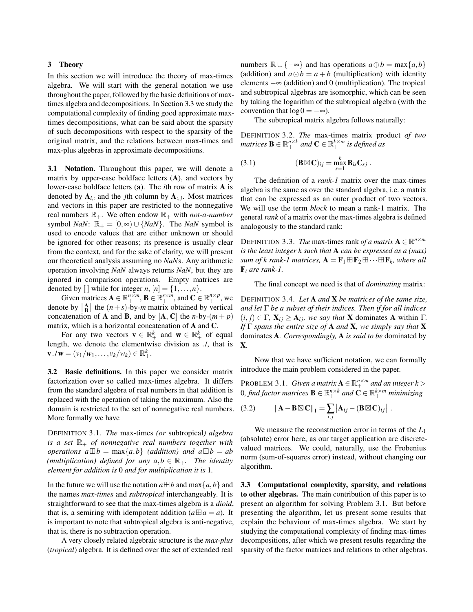#### 3 Theory

In this section we will introduce the theory of max-times algebra. We will start with the general notation we use throughout the paper, followed by the basic definitions of maxtimes algebra and decompositions. In Section 3.3 we study the computational complexity of finding good approximate maxtimes decompositions, what can be said about the sparsity of such decompositions with respect to the sparsity of the original matrix, and the relations between max-times and max-plus algebras in approximate decompositions.

3.1 Notation. Throughout this paper, we will denote a matrix by upper-case boldface letters (A), and vectors by lower-case boldface letters (a). The *i*th row of matrix A is denoted by  $A_{i,:}$  and the *j*th column by  $A_{:,j}$ . Most matrices and vectors in this paper are restricted to the nonnegative real numbers  $\mathbb{R}_+$ . We often endow  $\mathbb{R}_+$  with *not-a-number* symbol *NaN*:  $\mathbb{R}_+ = [0, \infty) \cup \{NaN\}$ . The *NaN* symbol is used to encode values that are either unknown or should be ignored for other reasons; its presence is usually clear from the context, and for the sake of clarity, we will present our theoretical analysis assuming no *NaN*s. Any arithmetic operation involving *NaN* always returns *NaN*, but they are ignored in comparison operations. Empty matrices are denoted by  $[ \ ]$  while for integer *n*,  $[n] = \{1, \ldots, n\}.$ 

Given matrices  $\mathbf{A} \in \mathbb{R}_+^{n \times m}$ ,  $\mathbf{B} \in \mathbb{R}_+^{s \times m}$ , and  $\mathbf{C} \in \mathbb{R}_+^{n \times p}$ , we denote by  $\begin{bmatrix} A \\ B \end{bmatrix}$  the  $(n+s)$ -by-*m* matrix obtained by vertical concatenation of **A** and **B**, and by  $[A, C]$  the *n*-by- $(m + p)$ matrix, which is a horizontal concatenation of A and C.

For any two vectors  $\mathbf{v} \in \mathbb{R}_+^k$  and  $\mathbf{w} \in \mathbb{R}_+^k$  of equal length, we denote the elementwise division as ./, that is  $\mathbf{v} \cdot \mathbf{w} = (v_1/w_1, \dots, v_k/w_k) \in \mathbb{R}_+^k.$ 

3.2 Basic definitions. In this paper we consider matrix factorization over so called max-times algebra. It differs from the standard algebra of real numbers in that addition is replaced with the operation of taking the maximum. Also the domain is restricted to the set of nonnegative real numbers. More formally we have

DEFINITION 3.1. *The* max-times *(or* subtropical*) algebra is a set*  $\mathbb{R}_+$  *of nonnegative real numbers together with operations*  $a \boxplus b = \max\{a, b\}$  *(addition)* and  $a \boxminus b = ab$ *(multiplication) defined for any*  $a, b \in \mathbb{R}_+$ . The identity *element for addition is* 0 *and for multiplication it is* 1*.*

In the future we will use the notation  $a \boxplus b$  and max $\{a, b\}$  and the names *max-times* and *subtropical* interchangeably. It is straightforward to see that the max-times algebra is a *dioid*, that is, a semiring with idempotent addition ( $a \oplus a = a$ ). It is important to note that subtropical algebra is anti-negative, that is, there is no subtraction operation.

A very closely related algebraic structure is the *max-plus* (*tropical*) algebra. It is defined over the set of extended real

numbers  $\mathbb{R} \cup \{-\infty\}$  and has operations  $a \oplus b = \max\{a, b\}$ (addition) and  $a \odot b = a + b$  (multiplication) with identity elements  $-\infty$  (addition) and 0 (multiplication). The tropical and subtropical algebras are isomorphic, which can be seen by taking the logarithm of the subtropical algebra (with the convention that  $log 0 = -\infty$ ).

The subtropical matrix algebra follows naturally:

DEFINITION 3.2. *The* max-times matrix product *of two*  $m$  *atrices*  $\mathbf{B} \in \mathbb{R}_+^{n \times k}$  and  $\mathbf{C} \in \mathbb{R}_+^{k \times m}$  is defined as

(3.1) 
$$
(\mathbf{B} \boxtimes \mathbf{C})_{ij} = \max_{s=1}^k \mathbf{B}_{is} \mathbf{C}_{sj} .
$$

The definition of a *rank-1* matrix over the max-times algebra is the same as over the standard algebra, i.e. a matrix that can be expressed as an outer product of two vectors. We will use the term *block* to mean a rank-1 matrix. The general *rank* of a matrix over the max-times algebra is defined analogously to the standard rank:

DEFINITION 3.3. *The* max-times rank *of a matrix*  $\mathbf{A} \in \mathbb{R}^{n \times m}$ *is the least integer k such that* A *can be expressed as a (max)*  $sum$  of  $k$  *rank-1 matrices,*  $\mathbf{A} = \mathbf{F}_1 \boxplus \mathbf{F}_2 \boxplus \cdots \boxplus \mathbf{F}_k$ , where all F*<sup>i</sup> are rank-1.*

The final concept we need is that of *dominating* matrix:

DEFINITION 3.4. *Let* A *and* X *be matrices of the same size, and let* Γ *be a subset of their indices. Then if for all indices*  $(i, j) \in \Gamma$ ,  $\mathbf{X}_{ij} \geq \mathbf{A}_{ij}$ *, we say that* **X** dominates **A** within  $\Gamma$ *. If* Γ *spans the entire size of* A *and* X*, we simply say that* X dominates A*. Correspondingly,* A *is said to be* dominated by X*.*

Now that we have sufficient notation, we can formally introduce the main problem considered in the paper.

PROBLEM 3.1. *Given a matrix*  $A \in \mathbb{R}^{n \times m}_+$  *and an integer*  $k$  >  $0$ , find factor matrices  $\mathbf{B} \in \mathbb{R}_+^{n \times k}$  and  $\mathbf{C} \in \mathbb{R}_+^{k \times m}$  minimizing

.

(3.2) 
$$
\|\mathbf{A} - \mathbf{B} \boxtimes \mathbf{C}\|_1 = \sum_{i,j} |\mathbf{A}_{ij} - (\mathbf{B} \boxtimes \mathbf{C})_{ij}|
$$

We measure the reconstruction error in terms of the *L*<sup>1</sup> (absolute) error here, as our target application are discretevalued matrices. We could, naturally, use the Frobenius norm (sum-of-squares error) instead, without changing our algorithm.

3.3 Computational complexity, sparsity, and relations to other algebras. The main contribution of this paper is to present an algorithm for solving Problem 3.1. But before presenting the algorithm, let us present some results that explain the behaviour of max-times algebra. We start by studying the computational complexity of finding max-times decompositions, after which we present results regarding the sparsity of the factor matrices and relations to other algebras.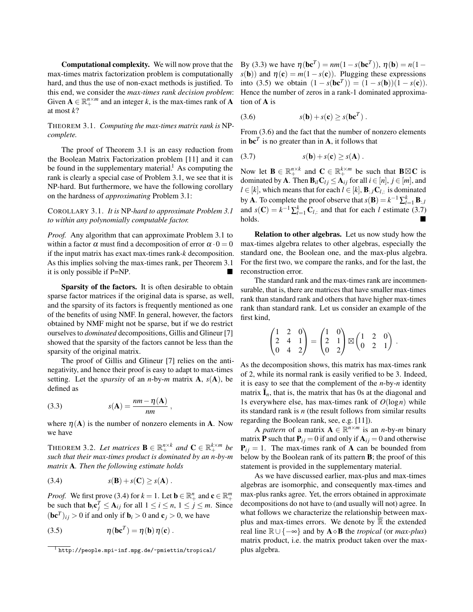Computational complexity. We will now prove that the max-times matrix factorization problem is computationally hard, and thus the use of non-exact methods is justified. To this end, we consider the *max-times rank decision problem*: Given  $\mathbf{A} \in \mathbb{R}_+^{n \times m}$  and an integer *k*, is the max-times rank of **A** at most *k*?

THEOREM 3.1. *Computing the max-times matrix rank is* NP*complete.*

The proof of Theorem 3.1 is an easy reduction from the Boolean Matrix Factorization problem [11] and it can be found in the supplementary material.<sup>1</sup> As computing the rank is clearly a special case of Problem 3.1, we see that it is NP-hard. But furthermore, we have the following corollary on the hardness of *approximating* Problem 3.1:

## COROLLARY 3.1. *It is* NP*-hard to approximate Problem 3.1 to within any polynomially computable factor.*

*Proof.* Any algorithm that can approximate Problem 3.1 to within a factor  $\alpha$  must find a decomposition of error  $\alpha \cdot 0 = 0$ if the input matrix has exact max-times rank-*k* decomposition. As this implies solving the max-times rank, per Theorem 3.1 it is only possible if P=NP.

Sparsity of the factors. It is often desirable to obtain sparse factor matrices if the original data is sparse, as well, and the sparsity of its factors is frequently mentioned as one of the benefits of using NMF. In general, however, the factors obtained by NMF might not be sparse, but if we do restrict ourselves to *dominated* decompositions, Gillis and Glineur [7] showed that the sparsity of the factors cannot be less than the sparsity of the original matrix.

The proof of Gillis and Glineur [7] relies on the antinegativity, and hence their proof is easy to adapt to max-times setting. Let the *sparsity* of an *n*-by-*m* matrix A, *s*(A), be defined as

(3.3) 
$$
s(\mathbf{A}) = \frac{nm - \eta(\mathbf{A})}{nm},
$$

where  $\eta(A)$  is the number of nonzero elements in A. Now we have

THEOREM 3.2. Let matrices  $\mathbf{B} \in \mathbb{R}^{n \times k}_+$  and  $\mathbf{C} \in \mathbb{R}^{k \times m}_+$  be *such that their max-times product is dominated by an n-by-m matrix* A*. Then the following estimate holds*

$$
(3.4) \t s(\mathbf{B}) + s(\mathbf{C}) \geq s(\mathbf{A}).
$$

*Proof.* We first prove (3.4) for  $k = 1$ . Let  $\mathbf{b} \in \mathbb{R}^n_+$  and  $\mathbf{c} \in \mathbb{R}^m_+$ be such that  $\mathbf{b}_i \mathbf{c}_j^T \leq \mathbf{A}_{ij}$  for all  $1 \leq i \leq n, 1 \leq j \leq m$ . Since  $(\mathbf{b}\mathbf{c}^T)_{ij} > 0$  if and only if  $\mathbf{b}_i > 0$  and  $\mathbf{c}_j > 0$ , we have

(3.5) 
$$
\eta(\mathbf{b}\mathbf{c}^T) = \eta(\mathbf{b})\eta(\mathbf{c}).
$$

By (3.3) we have  $η$ (**bc**<sup>*T*</sup>) =  $nm(1 - s$ (**bc**<sup>*T*</sup>)),  $η$ (**b**) =  $n(1$  $s(\mathbf{b})$  and  $\eta(\mathbf{c}) = m(1 - s(\mathbf{c}))$ . Plugging these expressions into (3.5) we obtain  $(1 - s(\mathbf{bc}^T)) = (1 - s(\mathbf{b}))(1 - s(\mathbf{c})).$ Hence the number of zeros in a rank-1 dominated approximation of A is

(3.6) 
$$
s(\mathbf{b}) + s(\mathbf{c}) \geq s(\mathbf{b}\mathbf{c}^T).
$$

From (3.6) and the fact that the number of nonzero elements in  $\mathbf{b} \mathbf{c}^T$  is no greater than in **A**, it follows that

$$
(3.7) \t s(\mathbf{b}) + s(\mathbf{c}) \geq s(\mathbf{A}) .
$$

Now let  $\mathbf{B} \in \mathbb{R}_+^{n \times k}$  and  $\mathbf{C} \in \mathbb{R}_+^{k \times m}$  be such that  $\mathbf{B} \boxtimes \mathbf{C}$  is dominated by **A**. Then  $\mathbf{B}_{il}\mathbf{C}_{lj} \leq \mathbf{A}_{ij}$  for all  $i \in [n], j \in [m]$ , and *l* ∈ [*k*], which means that for each *l* ∈ [*k*], **B**<sub>:*,l*</sub>C*l*<sub>*i*</sub>: is dominated by **A**. To complete the proof observe that  $s(\mathbf{B}) = k^{-1} \sum_{l=1}^{k} \mathbf{B}_{:,l}$ and  $s(\mathbf{C}) = k^{-1} \sum_{l=1}^{k} \mathbf{C}_{l,:}$  and that for each *l* estimate (3.7)  $holds.$ 

Relation to other algebras. Let us now study how the max-times algebra relates to other algebras, especially the standard one, the Boolean one, and the max-plus algebra. For the first two, we compare the ranks, and for the last, the reconstruction error.

The standard rank and the max-times rank are incommensurable, that is, there are matrices that have smaller max-times rank than standard rank and others that have higher max-times rank than standard rank. Let us consider an example of the first kind,

$$
\begin{pmatrix} 1 & 2 & 0 \\ 2 & 4 & 1 \\ 0 & 4 & 2 \end{pmatrix} = \begin{pmatrix} 1 & 0 \\ 2 & 1 \\ 0 & 2 \end{pmatrix} \boxtimes \begin{pmatrix} 1 & 2 & 0 \\ 0 & 2 & 1 \end{pmatrix}
$$

.

As the decomposition shows, this matrix has max-times rank of 2, while its normal rank is easily verified to be 3. Indeed, it is easy to see that the complement of the *n*-by-*n* identity matrix  $I_n$ , that is, the matrix that has 0s at the diagonal and 1s everywhere else, has max-times rank of  $O(\log n)$  while its standard rank is *n* (the result follows from similar results regarding the Boolean rank, see, e.g. [11]).

A *pattern* of a matrix  $A \in \mathbb{R}^{n \times m}$  is an *n*-by-*m* binary matrix **P** such that  $P_{ij} = 0$  if and only if  $A_{ij} = 0$  and otherwise  $P_{ii} = 1$ . The max-times rank of **A** can be bounded from below by the Boolean rank of its pattern B; the proof of this statement is provided in the supplementary material.

As we have discussed earlier, max-plus and max-times algebras are isomorphic, and consequently max-times and max-plus ranks agree. Yet, the errors obtained in approximate decompositions do not have to (and usually will not) agree. In what follows we characterize the relationship between maxplus and max-times errors. We denote by  $\overline{\mathbb{R}}$  the extended real line  $\mathbb{R} \cup \{-\infty\}$  and by  $\mathbf{A} \diamond \mathbf{B}$  the *tropical* (or *max-plus*) matrix product, i.e. the matrix product taken over the maxplus algebra.

<sup>1</sup> http://people.mpi-inf.mpg.de/~pmiettin/tropical/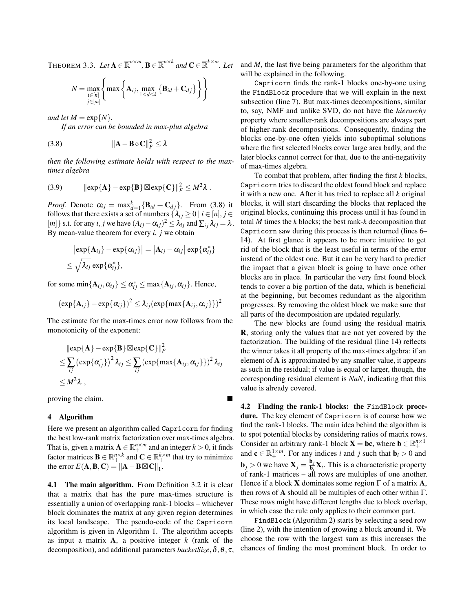$\text{THEOREM 3.3. } Let \mathbf{A} \in \overline{\mathbb{R}}^{n \times m}, \mathbf{B} \in \overline{\mathbb{R}}^{n \times k} \text{ and } \mathbf{C} \in \overline{\mathbb{R}}^{k \times m}.$  Let

$$
N = \max_{\substack{i \in [n] \\ j \in [m]}} \left\{ \max \left\{ \mathbf{A}_{ij}, \max_{1 \le d \le k} \left\{ \mathbf{B}_{id} + \mathbf{C}_{dj} \right\} \right\} \right\}
$$

*and let*  $M = \exp\{N\}$ *.* 

*If an error can be bounded in max-plus algebra*

$$
(3.8) \t\t ||\mathbf{A} - \mathbf{B} \diamond \mathbf{C}||_F^2 \le \lambda
$$

*then the following estimate holds with respect to the maxtimes algebra*

(3.9) kexp{A} −exp{B}exp{C}k 2 *<sup>F</sup>* ≤ *M*<sup>2</sup> λ .

*Proof.* Denote  $\alpha_{ij} = \max_{d=1}^k {\{\bf B}_{id} + {\bf C}_{dj}\}$ . From (3.8) it follows that there exists a set of numbers  $\{\lambda_{ij} \geq 0 \mid i \in [n], j \in$  $[m]$ } s.t. for any *i*, *j* we have  $(A_{ij} - \alpha_{ij})^2 \leq \lambda_{ij}$  and  $\sum_{ij} \lambda_{ij} = \lambda$ . By mean-value theorem for every *i*, *j* we obtain

$$
|\exp{\mathbf{A}_{ij}} - \exp{\alpha_{ij}}| = |\mathbf{A}_{ij} - \alpha_{ij}| \exp{\alpha_{ij}^*}
$$
  

$$
\leq \sqrt{\lambda_{ij}} \exp{\alpha_{ij}^*},
$$

for some  $\min\{\mathbf{A}_{ij}, \alpha_{ij}\} \leq \alpha_{ij}^* \leq \max\{\mathbf{A}_{ij}, \alpha_{ij}\}.$  Hence,

$$
(\exp{\{\mathbf{A}_{ij}\}} - \exp{\{\alpha_{ij}\}})^2 \leq \lambda_{ij} (\exp{\{\max{\{\mathbf{A}_{ij}, \alpha_{ij}\}}\}})^2
$$

The estimate for the max-times error now follows from the monotonicity of the exponent:

$$
\|\exp{\mathbf{A}\}-\exp{\mathbf{B}\}\otimes\exp{\mathbf{C}\}}\|_F^2
$$
  
\n
$$
\leq \sum_{ij} (\exp{\{\alpha_{ij}^*\}})^2 \lambda_{ij} \leq \sum_{ij} (\exp{\max{\{\mathbf{A}_{ij}, \alpha_{ij}\}}}\)^2 \lambda_{ij}
$$
  
\n
$$
\leq M^2 \lambda ,
$$

proving the claim.

### 4 Algorithm

Here we present an algorithm called Capricorn for finding the best low-rank matrix factorization over max-times algebra. That is, given a matrix  $\mathbf{A} \in \mathbb{R}^{n \times m}_{+}$  and an integer  $k > 0$ , it finds factor matrices  $\mathbf{B} \in \mathbb{R}_+^{n \times k}$  and  $\mathbf{C} \in \mathbb{R}_+^{k \times m}$  that try to minimize the error  $E(\mathbf{A}, \mathbf{B}, \mathbf{C}) = ||\mathbf{A} - \mathbf{B} \boxtimes \mathbf{C}||_1$ .

4.1 The main algorithm. From Definition 3.2 it is clear that a matrix that has the pure max-times structure is essentially a union of overlapping rank-1 blocks – whichever block dominates the matrix at any given region determines its local landscape. The pseudo-code of the Capricorn algorithm is given in Algorithm 1. The algorithm accepts as input a matrix A, a positive integer *k* (rank of the decomposition), and additional parameters *bucketSize*,δ,θ, τ, and *M*, the last five being parameters for the algorithm that will be explained in the following.

Capricorn finds the rank-1 blocks one-by-one using the FindBlock procedure that we will explain in the next subsection (line 7). But max-times decompositions, similar to, say, NMF and unlike SVD, do not have the *hierarchy* property where smaller-rank decompositions are always part of higher-rank decompositions. Consequently, finding the blocks one-by-one often yields into suboptimal solutions where the first selected blocks cover large area badly, and the later blocks cannot correct for that, due to the anti-negativity of max-times algebra.

To combat that problem, after finding the first *k* blocks, Capricorn tries to discard the oldest found block and replace it with a new one. After it has tried to replace all *k* original blocks, it will start discarding the blocks that replaced the original blocks, continuing this process until it has found in total *M* times the *k* blocks; the best rank-*k* decomposition that Capricorn saw during this process is then returned (lines 6– 14). At first glance it appears to be more intuitive to get rid of the block that is the least useful in terms of the error instead of the oldest one. But it can be very hard to predict the impact that a given block is going to have once other blocks are in place. In particular the very first found block tends to cover a big portion of the data, which is beneficial at the beginning, but becomes redundant as the algorithm progresses. By removing the oldest block we make sure that all parts of the decomposition are updated regularly.

The new blocks are found using the residual matrix R, storing only the values that are not yet covered by the factorization. The building of the residual (line 14) reflects the winner takes it all property of the max-times algebra: if an element of A is approximated by any smaller value, it appears as such in the residual; if value is equal or larger, though, the corresponding residual element is *NaN*, indicating that this value is already covered.

4.2 Finding the rank-1 blocks: the FindBlock procedure. The key element of Capricorn is of course how we find the rank-1 blocks. The main idea behind the algorithm is to spot potential blocks by considering ratios of matrix rows. Consider an arbitrary rank-1 block  $X = bc$ , where  $b \in \mathbb{R}^{n \times 1}$ and  $\mathbf{c} \in \mathbb{R}_+^{1 \times m}$ . For any indices *i* and *j* such that  $\mathbf{b}_i > 0$  and **b**<sub>j</sub> > 0 we have  $X_j = \frac{b_j}{b_j}$  $\frac{\mathbf{b}_j}{\mathbf{b}_i} \mathbf{X}_i$ . This is a characteristic property of rank-1 matrices – all rows are multiples of one another. Hence if a block **X** dominates some region  $\Gamma$  of a matrix **A**, then rows of A should all be multiples of each other within  $\Gamma$ . These rows might have different lengths due to block overlap, in which case the rule only applies to their common part.

FindBlock (Algorithm 2) starts by selecting a seed row (line 2), with the intention of growing a block around it. We choose the row with the largest sum as this increases the chances of finding the most prominent block. In order to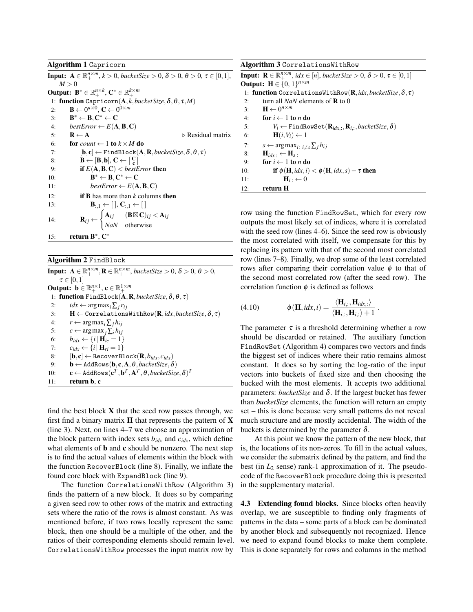#### Algorithm 1 Capricorn

**Input:**  $A \in \mathbb{R}_+^{n \times m}$ ,  $k > 0$ , *bucketSize*  $> 0$ ,  $\delta > 0$ ,  $\theta > 0$ ,  $\tau \in [0,1]$ ,  $M > 0$ Output:  $\mathbf{B}^* \in \mathbb{R}_+^{n \times k}$ ,  $\mathbf{C}^* \in \mathbb{R}_+^{k \times m}$ 1: function Capricorn(A, *k*,*bucketSize*,δ,θ, τ,*M*) 2: **B**  $\leftarrow 0^{n \times 0}$ , **C**  $\leftarrow 0^{0 \times m}$  $3:$  $* \leftarrow B, C^* \leftarrow C$ 4:  $bestError \leftarrow E(\mathbf{A}, \mathbf{B}, \mathbf{C})$ 5:  $\mathbf{R} \leftarrow \mathbf{A}$   $\triangleright$  Residual matrix 6: **for** *count*  $\leftarrow$  1 **to**  $k \times M$  **do** 7:  $[\mathbf{b}, \mathbf{c}] \leftarrow \text{FindBlock}(\mathbf{A}, \mathbf{R}, \text{bucketSize}, \delta, \theta, \tau)$ 8:  $\mathbf{B} \leftarrow [\mathbf{B}, \mathbf{b}], \mathbf{C} \leftarrow \begin{bmatrix} \mathbf{C} \\ \mathbf{c} \end{bmatrix}$ 1 9: **if**  $E(A, B, C) <$  *bestError* then  $10:$  $* \leftarrow B, C^* \leftarrow C$ 11: *bestError*  $\leftarrow E(\mathbf{A}, \mathbf{B}, \mathbf{C})$ 12: if B has more than *k* columns then 13:  $\mathbf{B}_{:,1} \leftarrow [ \, ], \, \mathbf{C}_{:,1} \leftarrow [ \, ]$ 14:  $\mathbf{R}_{ij} \leftarrow$  $\int \mathbf{A}_{ij}$  ( $\mathbf{B} \boxtimes \mathbf{C}$ )<sub>ij</sub> <  $\mathbf{A}_{ij}$ *NaN* otherwise 15: return  $\mathbf{B}^*$ ,  $\mathbf{C}^*$ 

## Algorithm 2 FindBlock

**Input:**  $A \in \mathbb{R}_+^{n \times m}$ ,  $\mathbf{R} \in \mathbb{R}_+^{n \times m}$ , bucketSize > 0,  $\delta$  > 0,  $\theta$  > 0,  $\tau \in [0,1]$ Output:  $\mathbf{b} \in \mathbb{R}_+^{n \times 1}$ ,  $\mathbf{c} \in \mathbb{R}_+^{1 \times m}$ 1: function FindBlock(A,R,*bucketSize*,δ,θ, τ) 2:  $idx \leftarrow \arg \max_i \sum_j r_{ij}$ 3: H ← CorrelationsWithRow(R,*idx*,*bucketSize*,δ, τ) 4:  $r \leftarrow \arg \max_i \sum_j h_{ij}$ <br>5:  $c \leftarrow \arg \max_i \sum_j h_{ij}$  $c \leftarrow \arg \max_j \sum_i h_{ij}$ 6:  $b_{idx} \leftarrow \{i \mid \mathbf{H}_{ic} = 1\}$ 7:  $c_{idx} \leftarrow \{i | \mathbf{H}_{ri} = 1\}$ 8:  $[\mathbf{b}, \mathbf{c}] \leftarrow \texttt{RecoverBlock}(\mathbf{R}, b_{idx}, c_{idx})$ 9:  $\mathbf{b} \leftarrow$  AddRows $(\mathbf{b}, \mathbf{c}, \mathbf{A}, \theta, \text{bucketSize}, \delta)$ 10:  $\mathbf{c} \leftarrow \text{AddRows}(\mathbf{c}^T, \mathbf{b}^T, \mathbf{A}^T, \theta, \text{bucketSize}, \delta)^T$ 11: return b, c

find the best block  $X$  that the seed row passes through, we first find a binary matrix  $H$  that represents the pattern of  $X$ (line 3). Next, on lines 4–7 we choose an approximation of the block pattern with index sets  $b_{idx}$  and  $c_{idx}$ , which define what elements of **b** and **c** should be nonzero. The next step is to find the actual values of elements within the block with the function RecoverBlock (line 8). Finally, we inflate the found core block with ExpandBlock (line 9).

The function CorrelationsWithRow (Algorithm 3) finds the pattern of a new block. It does so by comparing a given seed row to other rows of the matrix and extracting sets where the ratio of the rows is almost constant. As was mentioned before, if two rows locally represent the same block, then one should be a multiple of the other, and the ratios of their corresponding elements should remain level. CorrelationsWithRow processes the input matrix row by

| Algorithm 3 Correlations With Row                                                                                            |  |  |
|------------------------------------------------------------------------------------------------------------------------------|--|--|
| <b>Input:</b> $\mathbf{R} \in \mathbb{R}_{+}^{n \times m}$ , $idx \in [n]$ , bucket Size > 0, $\delta$ > 0, $\tau \in [0,1]$ |  |  |
| <b>Output:</b> $H \in \{0, 1\}^{n \times m}$                                                                                 |  |  |
| 1: function CorrelationsWithRow( $\mathbf{R}, idx, bucketSize, \delta, \tau$ )                                               |  |  |
| turn all <i>NaN</i> elements of <b>R</b> to 0<br>2:                                                                          |  |  |
| $\mathbf{H} \leftarrow 0^{n \times m}$<br>3:                                                                                 |  |  |
| for $i \leftarrow 1$ to n do<br>4:                                                                                           |  |  |
| $V_i \leftarrow$ FindRowSet $(\mathbf{R}_{idx,:}, \mathbf{R}_{i,:}, bucketSize, \delta)$<br>5:                               |  |  |
| $H(i, V_i) \leftarrow 1$<br>6:                                                                                               |  |  |
| $s \leftarrow \arg \max_{i: i \neq s} \sum_{j} h_{ij}$<br>7:                                                                 |  |  |
| 8:<br>$H_{idx}$ . $\leftarrow$ $H_s$ .                                                                                       |  |  |
| for $i \leftarrow 1$ to <i>n</i> do<br>9:                                                                                    |  |  |
| if $\phi$ (H, <i>idx</i> , <i>i</i> ) $<$ $\phi$ (H, <i>idx</i> , <i>s</i> ) – $\tau$ then<br>10:                            |  |  |
| $\mathbf{H}_i \cdot \leftarrow 0$<br>11:                                                                                     |  |  |
| return H<br>12:                                                                                                              |  |  |

row using the function FindRowSet, which for every row outputs the most likely set of indices, where it is correlated with the seed row (lines 4–6). Since the seed row is obviously the most correlated with itself, we compensate for this by replacing its pattern with that of the second most correlated row (lines 7–8). Finally, we drop some of the least correlated rows after comparing their correlation value  $\phi$  to that of the second most correlated row (after the seed row). The correlation function  $\phi$  is defined as follows

(4.10) 
$$
\phi(\mathbf{H}, i dx, i) = \frac{\langle \mathbf{H}_{i,:}, \mathbf{H}_{i dx,:} \rangle}{\langle \mathbf{H}_{i,:}, \mathbf{H}_{i,:} \rangle + 1}.
$$

The parameter  $\tau$  is a threshold determining whether a row should be discarded or retained. The auxiliary function FindRowSet (Algorithm 4) compares two vectors and finds the biggest set of indices where their ratio remains almost constant. It does so by sorting the log-ratio of the input vectors into buckets of fixed size and then choosing the bucked with the most elements. It accepts two additional parameters: *bucketSize* and δ. If the largest bucket has fewer than *bucketSize* elements, the function will return an empty set – this is done because very small patterns do not reveal much structure and are mostly accidental. The width of the buckets is determined by the parameter  $\delta$ .

At this point we know the pattern of the new block, that is, the locations of its non-zeros. To fill in the actual values, we consider the submatrix defined by the pattern, and find the best (in  $L_2$  sense) rank-1 approximation of it. The pseudocode of the RecoverBlock procedure doing this is presented in the supplementary material.

4.3 Extending found blocks. Since blocks often heavily overlap, we are susceptible to finding only fragments of patterns in the data – some parts of a block can be dominated by another block and subsequently not recognized. Hence we need to expand found blocks to make them complete. This is done separately for rows and columns in the method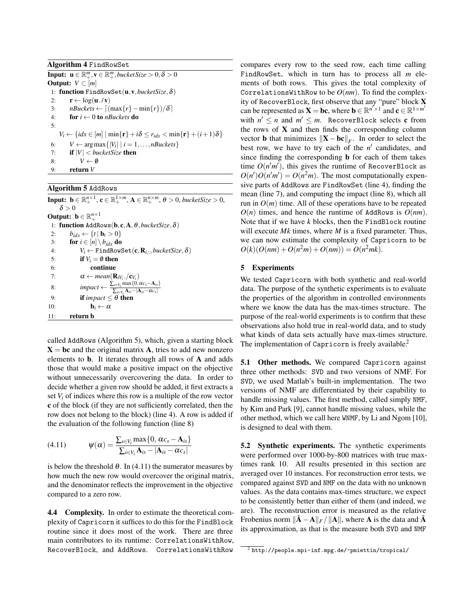Algorithm 4 FindRowSet

**Input:**  $\mathbf{u} \in \mathbb{R}^m_+, \mathbf{v} \in \mathbb{R}^m_+$ , bucket Size  $> 0, \delta > 0$ **Output:**  $V \subset [m]$ 1: function FindRowSet(u,v,*bucketSize*,δ) 2:  $\mathbf{r} \leftarrow \log(\mathbf{u} \cdot / \mathbf{v})$ 3:  $nBuckets \leftarrow \left[ (\max\{r\} - \min\{r\})/\delta \right]$ 4: for *i* ← 0 to *nBuckets* do 5:  $V_i \leftarrow \{idx \in [m] \mid \min\{\mathbf{r}\} + i\delta \leq r_{idx} < \min\{\mathbf{r}\} + (i+1)\delta\}$ 6:  $V \leftarrow \arg \max \{|V_i| \mid i = 1, \ldots, n\}$ uckets $\}$ 7: if |*V*| < *bucketSize* then 8:  $V \leftarrow \emptyset$ 9: return *V*

## Algorithm 5 AddRows

**Input:**  $\mathbf{b} \in \mathbb{R}_+^{n \times 1}$ ,  $\mathbf{c} \in \mathbb{R}_+^{1 \times m}$ ,  $\mathbf{A} \in \mathbb{R}_+^{n \times m}$ ,  $\theta > 0$ , bucketSize  $> 0$ ,  $\delta > 0$ Output:  $\mathbf{b} \in \mathbb{R}^{n \times 1}_+$ 1: function AddRows(b, c,A,θ,*bucketSize*,δ) 2:  $b_{idx} \leftarrow \{t \mid \mathbf{b}_t > 0\}$ 3: **for**  $i \in [n] \setminus b_{idx}$  do 4:  $V_i \leftarrow \texttt{FindRowSet}(\mathbf{c}, \mathbf{R}_{i,:}, \textit{bucketSize}, \delta)$ 5: **if**  $V_i = \emptyset$  then 6: continue 7:  $\alpha \leftarrow mean(\mathbf{R}_{iV_i} / \mathbf{c}_{V_i})$ 8:  $\lim \text{frac}{} \leftarrow \frac{\sum_{s \in V_i} \max\{0, \alpha c_s - A_{is}\}}{\sum_{s \in V_i} \lambda_{s} |\lambda_{s} - \alpha c_s|}$  $\sum_{s\in V_i} \mathbf{A}_{is} - |\mathbf{A}_{is} - \alpha c_s|$ 9: **if** *impact*  $\leq \theta$  **then** 10:  $\mathbf{b}_i \leftarrow \alpha$ 11: return b

called AddRows (Algorithm 5), which, given a starting block  $X = bc$  and the original matrix A, tries to add new nonzero elements to b. It iterates through all rows of A and adds those that would make a positive impact on the objective without unnecessarily overcovering the data. In order to decide whether a given row should be added, it first extracts a set  $V_i$  of indices where this row is a multiple of the row vector c of the block (if they are not sufficiently correlated, then the row does not belong to the block) (line 4). A row is added if the evaluation of the following function (line 8)

$$
(4.11) \qquad \qquad \Psi(\alpha) = \frac{\sum_{s \in V_i} \max\{0, \alpha c_s - \mathbf{A}_{is}\}}{\sum_{s \in V_i} \mathbf{A}_{is} - |\mathbf{A}_{is} - \alpha c_s|}
$$

is below the threshold  $\theta$ . In (4.11) the numerator measures by how much the new row would overcover the original matrix, and the denominator reflects the improvement in the objective compared to a zero row.

4.4 Complexity. In order to estimate the theoretical complexity of Capricorn it suffices to do this for the FindBlock routine since it does most of the work. There are three main contributors to its runtime: CorrelationsWithRow, RecoverBlock, and AddRows. CorrelationsWithRow

compares every row to the seed row, each time calling FindRowSet, which in turn has to process all *m* elements of both rows. This gives the total complexity of CorrelationsWithRow to be *O*(*nm*). To find the complexity of RecoverBlock, first observe that any "pure" block X can be represented as  $\mathbf{X} = \mathbf{bc}$ , where  $\mathbf{b} \in \mathbb{R}^{n' \times 1}$  and  $\mathbf{c} \in \mathbb{R}^{1 \times m'}$ with  $n' \leq n$  and  $m' \leq m$ . RecoverBlock selects **c** from the rows of  $X$  and then finds the corresponding column vector **b** that minimizes  $||\mathbf{X} - \mathbf{bc}||_F$ . In order to select the best row, we have to try each of the  $n'$  candidates, and since finding the corresponding b for each of them takes time  $O(n'm')$ , this gives the runtime of RecoverBlock as  $O(n')O(n'm') = O(n^2m)$ . The most computationally expensive parts of AddRows are FindRowSet (line 4), finding the mean (line 7), and computing the impact (line 8), which all run in  $O(m)$  time. All of these operations have to be repeated  $O(n)$  times, and hence the runtime of AddRows is  $O(nm)$ . Note that if we have *k* blocks, then the FindBlock routine will execute *Mk* times, where *M* is a fixed parameter. Thus, we can now estimate the complexity of Capricorn to be  $O(k)(O(nm) + O(n^2m) + O(nm)) = O(n^2mk).$ 

## 5 Experiments

We tested Capricorn with both synthetic and real-world data. The purpose of the synthetic experiments is to evaluate the properties of the algorithm in controlled environments where we know the data has the max-times structure. The purpose of the real-world experiments is to confirm that these observations also hold true in real-world data, and to study what kinds of data sets actually have max-times structure. The implementation of Capricorn is freely available.<sup>2</sup>

5.1 Other methods. We compared Capricorn against three other methods: SVD and two versions of NMF. For SVD, we used Matlab's built-in implementation. The two versions of NMF are differentiated by their capability to handle missing values. The first method, called simply NMF, by Kim and Park [9], cannot handle missing values, while the other method, which we call here WNMF, by Li and Ngom [10], is designed to deal with them.

5.2 Synthetic experiments. The synthetic experiments were performed over 1000-by-800 matrices with true maxtimes rank 10. All results presented in this section are averaged over 10 instances. For reconstruction error tests, we compared against SVD and NMF on the data with no unknown values. As the data contains max-times structure, we expect to be consistently better than either of them (and indeed, we are). The reconstruction error is measured as the relative Frobenius norm  $\|\mathbf{A} - \mathbf{A}\|_F / \|\mathbf{A}\|$ , where A is the data and A its approximation, as that is the measure both SVD and NMF

 $2$  http://people.mpi-inf.mpg.de/~pmiettin/tropical/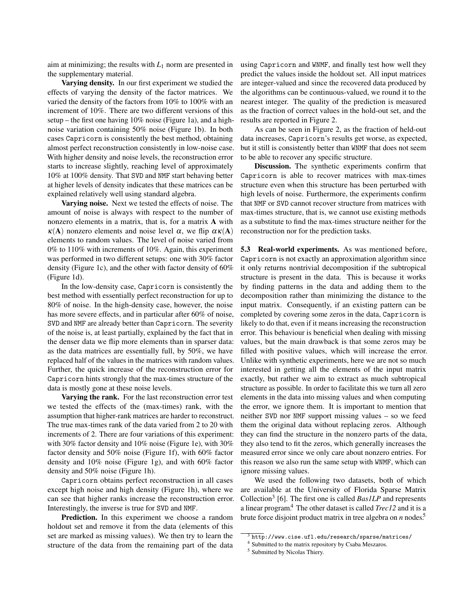aim at minimizing; the results with  $L_1$  norm are presented in the supplementary material.

Varying density. In our first experiment we studied the effects of varying the density of the factor matrices. We varied the density of the factors from 10% to 100% with an increment of 10%. There are two different versions of this setup – the first one having 10% noise (Figure 1a), and a highnoise variation containing 50% noise (Figure 1b). In both cases Capricorn is consistently the best method, obtaining almost perfect reconstruction consistently in low-noise case. With higher density and noise levels, the reconstruction error starts to increase slightly, reaching level of approximately 10% at 100% density. That SVD and NMF start behaving better at higher levels of density indicates that these matrices can be explained relatively well using standard algebra.

Varying noise. Next we tested the effects of noise. The amount of noise is always with respect to the number of nonzero elements in a matrix, that is, for a matrix A with  $\kappa(A)$  nonzero elements and noise level  $\alpha$ , we flip  $\alpha \kappa(A)$ elements to random values. The level of noise varied from 0% to 110% with increments of 10%. Again, this experiment was performed in two different setups: one with 30% factor density (Figure 1c), and the other with factor density of 60% (Figure 1d).

In the low-density case, Capricorn is consistently the best method with essentially perfect reconstruction for up to 80% of noise. In the high-density case, however, the noise has more severe effects, and in particular after 60% of noise, SVD and NMF are already better than Capricorn. The severity of the noise is, at least partially, explained by the fact that in the denser data we flip more elements than in sparser data: as the data matrices are essentially full, by 50%, we have replaced half of the values in the matrices with random values. Further, the quick increase of the reconstruction error for Capricorn hints strongly that the max-times structure of the data is mostly gone at these noise levels.

Varying the rank. For the last reconstruction error test we tested the effects of the (max-times) rank, with the assumption that higher-rank matrices are harder to reconstruct. The true max-times rank of the data varied from 2 to 20 with increments of 2. There are four variations of this experiment: with 30% factor density and 10% noise (Figure 1e), with 30% factor density and 50% noise (Figure 1f), with 60% factor density and 10% noise (Figure 1g), and with 60% factor density and 50% noise (Figure 1h).

Capricorn obtains perfect reconstruction in all cases except high noise and high density (Figure 1h), where we can see that higher ranks increase the reconstruction error. Interestingly, the inverse is true for SVD and NMF.

Prediction. In this experiment we choose a random holdout set and remove it from the data (elements of this set are marked as missing values). We then try to learn the structure of the data from the remaining part of the data using Capricorn and WNMF, and finally test how well they predict the values inside the holdout set. All input matrices are integer-valued and since the recovered data produced by the algorithms can be continuous-valued, we round it to the nearest integer. The quality of the prediction is measured as the fraction of correct values in the hold-out set, and the results are reported in Figure 2.

As can be seen in Figure 2, as the fraction of held-out data increases, Capricorn's results get worse, as expected, but it still is consistently better than WNMF that does not seem to be able to recover any specific structure.

Discussion. The synthetic experiments confirm that Capricorn is able to recover matrices with max-times structure even when this structure has been perturbed with high levels of noise. Furthermore, the experiments confirm that NMF or SVD cannot recover structure from matrices with max-times structure, that is, we cannot use existing methods as a substitute to find the max-times structure neither for the reconstruction nor for the prediction tasks.

5.3 Real-world experiments. As was mentioned before, Capricorn is not exactly an approximation algorithm since it only returns nontrivial decomposition if the subtropical structure is present in the data. This is because it works by finding patterns in the data and adding them to the decomposition rather than minimizing the distance to the input matrix. Consequently, if an existing pattern can be completed by covering some zeros in the data, Capricorn is likely to do that, even if it means increasing the reconstruction error. This behaviour is beneficial when dealing with missing values, but the main drawback is that some zeros may be filled with positive values, which will increase the error. Unlike with synthetic experiments, here we are not so much interested in getting all the elements of the input matrix exactly, but rather we aim to extract as much subtropical structure as possible. In order to facilitate this we turn all zero elements in the data into missing values and when computing the error, we ignore them. It is important to mention that neither SVD nor NMF support missing values – so we feed them the original data without replacing zeros. Although they can find the structure in the nonzero parts of the data, they also tend to fit the zeros, which generally increases the measured error since we only care about nonzero entries. For this reason we also run the same setup with WNMF, which can ignore missing values.

We used the following two datasets, both of which are available at the University of Florida Sparse Matrix Collection<sup>3</sup> [6]. The first one is called *Bas1LP* and represents a linear program.<sup>4</sup> The other dataset is called *Trec12* and it is a brute force disjoint product matrix in tree algebra on *n* nodes.<sup>5</sup>

 $3$ http://www.cise.ufl.edu/research/sparse/matrices/

<sup>4</sup> Submitted to the matrix repository by Csaba Meszaros.

<sup>5</sup> Submitted by Nicolas Thiery.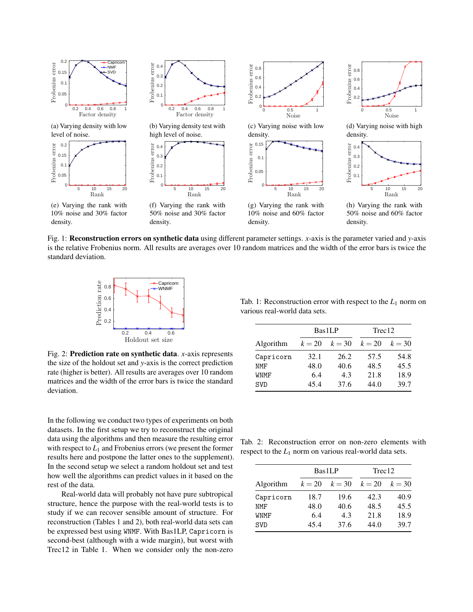

Fig. 1: Reconstruction errors on synthetic data using different parameter settings. *x*-axis is the parameter varied and *y*-axis is the relative Frobenius norm. All results are averages over 10 random matrices and the width of the error bars is twice the standard deviation.



Fig. 2: Prediction rate on synthetic data. *x*-axis represents the size of the holdout set and *y*-axis is the correct prediction rate (higher is better). All results are averages over 10 random matrices and the width of the error bars is twice the standard deviation.

In the following we conduct two types of experiments on both datasets. In the first setup we try to reconstruct the original data using the algorithms and then measure the resulting error with respect to  $L_1$  and Frobenius errors (we present the former results here and postpone the latter ones to the supplement). In the second setup we select a random holdout set and test how well the algorithms can predict values in it based on the rest of the data.

Real-world data will probably not have pure subtropical structure, hence the purpose with the real-world tests is to study if we can recover sensible amount of structure. For reconstruction (Tables 1 and 2), both real-world data sets can be expressed best using WNMF. With Bas1LP, Capricorn is second-best (although with a wide margin), but worst with Trec12 in Table 1. When we consider only the non-zero

Tab. 1: Reconstruction error with respect to the  $L_1$  norm on various real-world data sets.

|            |        | Bas1LP |          | Trec12   |  |
|------------|--------|--------|----------|----------|--|
| Algorithm  | $k=20$ | $k=30$ | $k = 20$ | $k = 30$ |  |
| Capricorn  | 32.1   | 26.2   | 57.5     | 54.8     |  |
| <b>NMF</b> | 48.0   | 40.6   | 48.5     | 45.5     |  |
| WNMF       | 6.4    | 4.3    | 21.8     | 18.9     |  |
| <b>SVD</b> | 45.4   | 37.6   | 44.0     | 39.7     |  |

Tab. 2: Reconstruction error on non-zero elements with respect to the  $L_1$  norm on various real-world data sets.

|             |        | <b>Bas1LP</b> |        | Trec12   |  |
|-------------|--------|---------------|--------|----------|--|
| Algorithm   | $k=20$ | $k=30$        | $k=20$ | $k = 30$ |  |
| Capricorn   | 18.7   | 19.6          | 42.3   | 40.9     |  |
| <b>NMF</b>  | 48.0   | 40.6          | 48.5   | 45.5     |  |
| <b>WNMF</b> | 6.4    | 4.3           | 21.8   | 18.9     |  |
| <b>SVD</b>  | 45.4   | 37.6          | 44.0   | 39.7     |  |